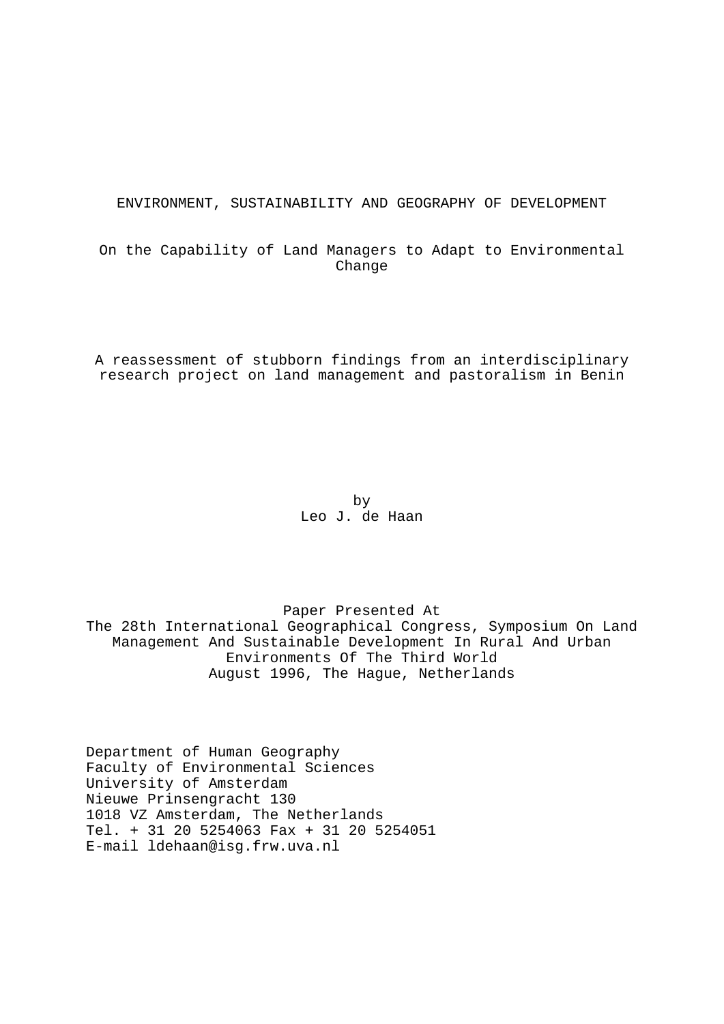ENVIRONMENT, SUSTAINABILITY AND GEOGRAPHY OF DEVELOPMENT

On the Capability of Land Managers to Adapt to Environmental Change

A reassessment of stubborn findings from an interdisciplinary research project on land management and pastoralism in Benin

 by Leo J. de Haan

Paper Presented At The 28th International Geographical Congress, Symposium On Land Management And Sustainable Development In Rural And Urban Environments Of The Third World August 1996, The Hague, Netherlands

Department of Human Geography Faculty of Environmental Sciences University of Amsterdam Nieuwe Prinsengracht 130 1018 VZ Amsterdam, The Netherlands Tel. + 31 20 5254063 Fax + 31 20 5254051 E-mail ldehaan@isg.frw.uva.nl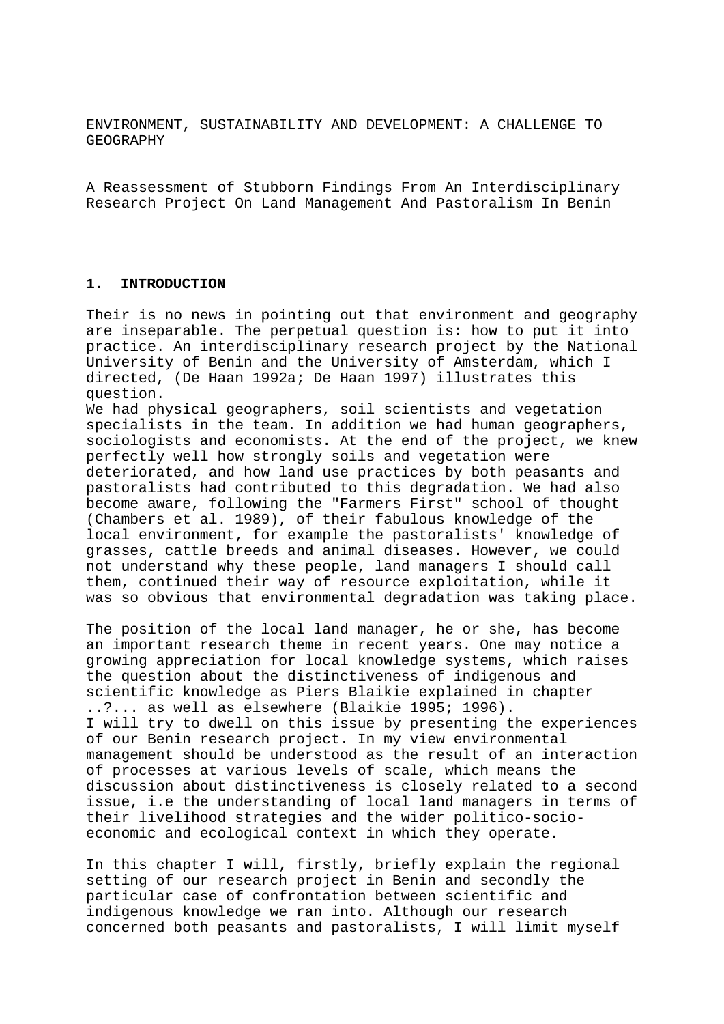ENVIRONMENT, SUSTAINABILITY AND DEVELOPMENT: A CHALLENGE TO GEOGRAPHY

A Reassessment of Stubborn Findings From An Interdisciplinary Research Project On Land Management And Pastoralism In Benin

#### **1. INTRODUCTION**

Their is no news in pointing out that environment and geography are inseparable. The perpetual question is: how to put it into practice. An interdisciplinary research project by the National University of Benin and the University of Amsterdam, which I directed, (De Haan 1992a; De Haan 1997) illustrates this question.

We had physical geographers, soil scientists and vegetation specialists in the team. In addition we had human geographers, sociologists and economists. At the end of the project, we knew perfectly well how strongly soils and vegetation were deteriorated, and how land use practices by both peasants and pastoralists had contributed to this degradation. We had also become aware, following the "Farmers First" school of thought (Chambers et al. 1989), of their fabulous knowledge of the local environment, for example the pastoralists' knowledge of grasses, cattle breeds and animal diseases. However, we could not understand why these people, land managers I should call them, continued their way of resource exploitation, while it was so obvious that environmental degradation was taking place.

The position of the local land manager, he or she, has become an important research theme in recent years. One may notice a growing appreciation for local knowledge systems, which raises the question about the distinctiveness of indigenous and scientific knowledge as Piers Blaikie explained in chapter ..?... as well as elsewhere (Blaikie 1995; 1996). I will try to dwell on this issue by presenting the experiences of our Benin research project. In my view environmental management should be understood as the result of an interaction of processes at various levels of scale, which means the discussion about distinctiveness is closely related to a second issue, i.e the understanding of local land managers in terms of their livelihood strategies and the wider politico-socioeconomic and ecological context in which they operate.

In this chapter I will, firstly, briefly explain the regional setting of our research project in Benin and secondly the particular case of confrontation between scientific and indigenous knowledge we ran into. Although our research concerned both peasants and pastoralists, I will limit myself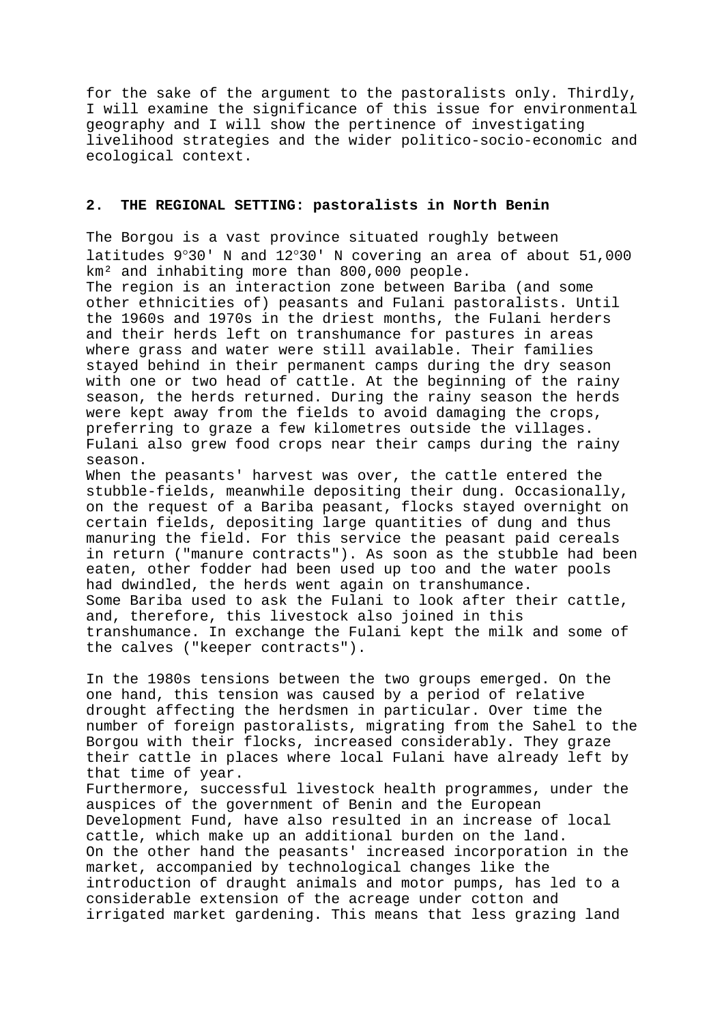for the sake of the argument to the pastoralists only. Thirdly, I will examine the significance of this issue for environmental geography and I will show the pertinence of investigating livelihood strategies and the wider politico-socio-economic and ecological context.

## **2. THE REGIONAL SETTING: pastoralists in North Benin**

The Borgou is a vast province situated roughly between latitudes 9°30' N and 12°30' N covering an area of about 51,000 km² and inhabiting more than 800,000 people. The region is an interaction zone between Bariba (and some other ethnicities of) peasants and Fulani pastoralists. Until the 1960s and 1970s in the driest months, the Fulani herders and their herds left on transhumance for pastures in areas where grass and water were still available. Their families stayed behind in their permanent camps during the dry season with one or two head of cattle. At the beginning of the rainy season, the herds returned. During the rainy season the herds were kept away from the fields to avoid damaging the crops, preferring to graze a few kilometres outside the villages. Fulani also grew food crops near their camps during the rainy season.

When the peasants' harvest was over, the cattle entered the stubble-fields, meanwhile depositing their dung. Occasionally, on the request of a Bariba peasant, flocks stayed overnight on certain fields, depositing large quantities of dung and thus manuring the field. For this service the peasant paid cereals in return ("manure contracts"). As soon as the stubble had been eaten, other fodder had been used up too and the water pools had dwindled, the herds went again on transhumance. Some Bariba used to ask the Fulani to look after their cattle, and, therefore, this livestock also joined in this transhumance. In exchange the Fulani kept the milk and some of the calves ("keeper contracts").

In the 1980s tensions between the two groups emerged. On the one hand, this tension was caused by a period of relative drought affecting the herdsmen in particular. Over time the number of foreign pastoralists, migrating from the Sahel to the Borgou with their flocks, increased considerably. They graze their cattle in places where local Fulani have already left by that time of year. Furthermore, successful livestock health programmes, under the auspices of the government of Benin and the European Development Fund, have also resulted in an increase of local cattle, which make up an additional burden on the land. On the other hand the peasants' increased incorporation in the market, accompanied by technological changes like the introduction of draught animals and motor pumps, has led to a considerable extension of the acreage under cotton and irrigated market gardening. This means that less grazing land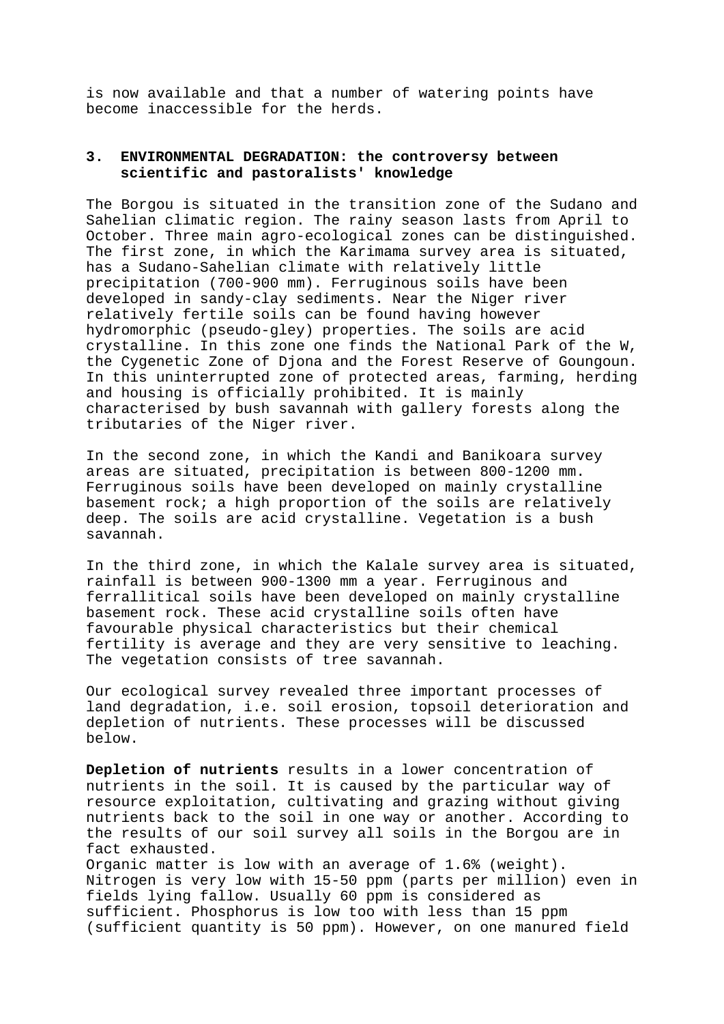is now available and that a number of watering points have become inaccessible for the herds.

# **3. ENVIRONMENTAL DEGRADATION: the controversy between scientific and pastoralists' knowledge**

The Borgou is situated in the transition zone of the Sudano and Sahelian climatic region. The rainy season lasts from April to October. Three main agro-ecological zones can be distinguished. The first zone, in which the Karimama survey area is situated, has a Sudano-Sahelian climate with relatively little precipitation (700-900 mm). Ferruginous soils have been developed in sandy-clay sediments. Near the Niger river relatively fertile soils can be found having however hydromorphic (pseudo-gley) properties. The soils are acid crystalline. In this zone one finds the National Park of the W, the Cygenetic Zone of Djona and the Forest Reserve of Goungoun. In this uninterrupted zone of protected areas, farming, herding and housing is officially prohibited. It is mainly characterised by bush savannah with gallery forests along the tributaries of the Niger river.

In the second zone, in which the Kandi and Banikoara survey areas are situated, precipitation is between 800-1200 mm. Ferruginous soils have been developed on mainly crystalline basement rock; a high proportion of the soils are relatively deep. The soils are acid crystalline. Vegetation is a bush savannah.

In the third zone, in which the Kalale survey area is situated, rainfall is between 900-1300 mm a year. Ferruginous and ferrallitical soils have been developed on mainly crystalline basement rock. These acid crystalline soils often have favourable physical characteristics but their chemical fertility is average and they are very sensitive to leaching. The vegetation consists of tree savannah.

Our ecological survey revealed three important processes of land degradation, i.e. soil erosion, topsoil deterioration and depletion of nutrients. These processes will be discussed below.

**Depletion of nutrients** results in a lower concentration of nutrients in the soil. It is caused by the particular way of resource exploitation, cultivating and grazing without giving nutrients back to the soil in one way or another. According to the results of our soil survey all soils in the Borgou are in fact exhausted. Organic matter is low with an average of 1.6% (weight). Nitrogen is very low with 15-50 ppm (parts per million) even in fields lying fallow. Usually 60 ppm is considered as sufficient. Phosphorus is low too with less than 15 ppm (sufficient quantity is 50 ppm). However, on one manured field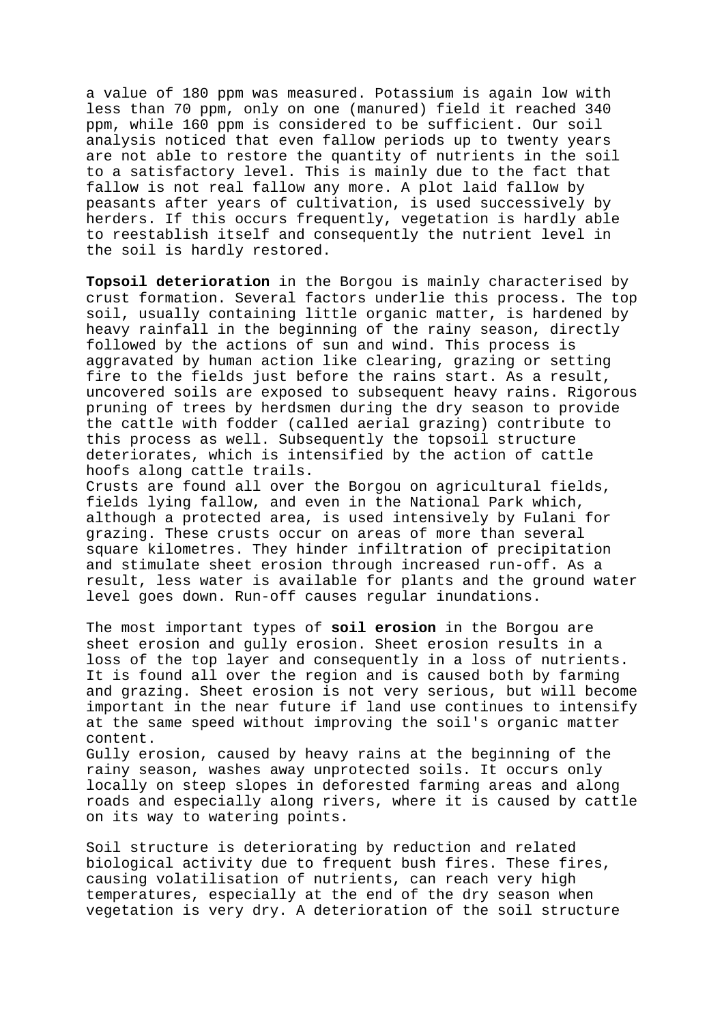a value of 180 ppm was measured. Potassium is again low with less than 70 ppm, only on one (manured) field it reached 340 ppm, while 160 ppm is considered to be sufficient. Our soil analysis noticed that even fallow periods up to twenty years are not able to restore the quantity of nutrients in the soil to a satisfactory level. This is mainly due to the fact that fallow is not real fallow any more. A plot laid fallow by peasants after years of cultivation, is used successively by herders. If this occurs frequently, vegetation is hardly able to reestablish itself and consequently the nutrient level in the soil is hardly restored.

**Topsoil deterioration** in the Borgou is mainly characterised by crust formation. Several factors underlie this process. The top soil, usually containing little organic matter, is hardened by heavy rainfall in the beginning of the rainy season, directly followed by the actions of sun and wind. This process is aggravated by human action like clearing, grazing or setting fire to the fields just before the rains start. As a result, uncovered soils are exposed to subsequent heavy rains. Rigorous pruning of trees by herdsmen during the dry season to provide the cattle with fodder (called aerial grazing) contribute to this process as well. Subsequently the topsoil structure deteriorates, which is intensified by the action of cattle hoofs along cattle trails.

Crusts are found all over the Borgou on agricultural fields, fields lying fallow, and even in the National Park which, although a protected area, is used intensively by Fulani for grazing. These crusts occur on areas of more than several square kilometres. They hinder infiltration of precipitation and stimulate sheet erosion through increased run-off. As a result, less water is available for plants and the ground water level goes down. Run-off causes regular inundations.

The most important types of **soil erosion** in the Borgou are sheet erosion and gully erosion. Sheet erosion results in a loss of the top layer and consequently in a loss of nutrients. It is found all over the region and is caused both by farming and grazing. Sheet erosion is not very serious, but will become important in the near future if land use continues to intensify at the same speed without improving the soil's organic matter content.

Gully erosion, caused by heavy rains at the beginning of the rainy season, washes away unprotected soils. It occurs only locally on steep slopes in deforested farming areas and along roads and especially along rivers, where it is caused by cattle on its way to watering points.

Soil structure is deteriorating by reduction and related biological activity due to frequent bush fires. These fires, causing volatilisation of nutrients, can reach very high temperatures, especially at the end of the dry season when vegetation is very dry. A deterioration of the soil structure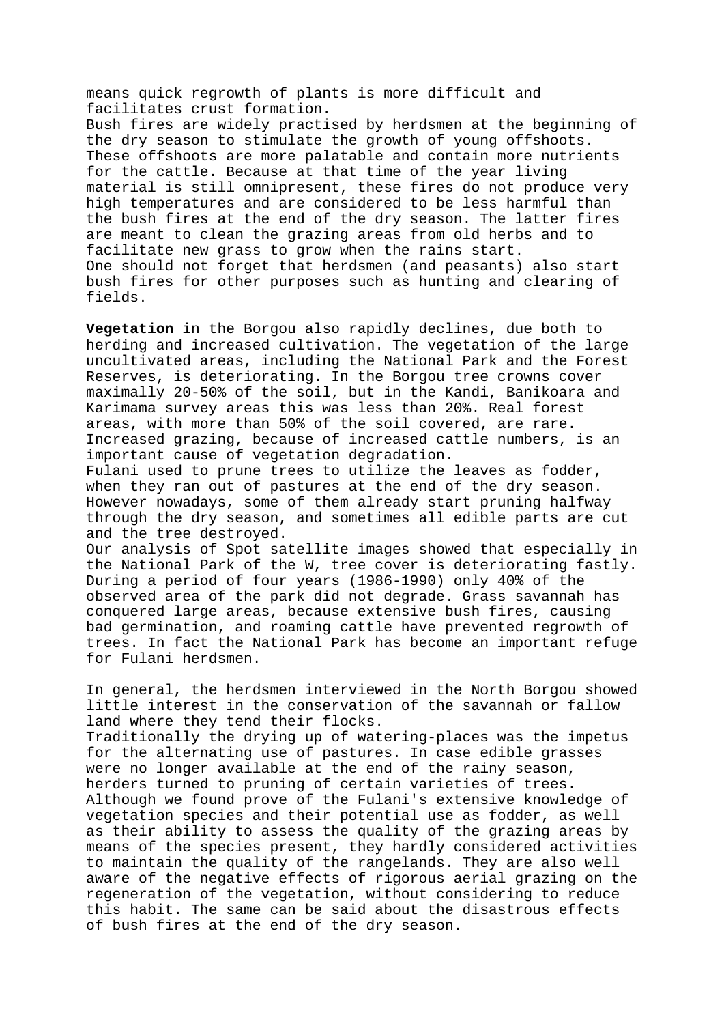means quick regrowth of plants is more difficult and facilitates crust formation.

Bush fires are widely practised by herdsmen at the beginning of the dry season to stimulate the growth of young offshoots. These offshoots are more palatable and contain more nutrients for the cattle. Because at that time of the year living material is still omnipresent, these fires do not produce very high temperatures and are considered to be less harmful than the bush fires at the end of the dry season. The latter fires are meant to clean the grazing areas from old herbs and to facilitate new grass to grow when the rains start. One should not forget that herdsmen (and peasants) also start bush fires for other purposes such as hunting and clearing of fields.

**Vegetation** in the Borgou also rapidly declines, due both to herding and increased cultivation. The vegetation of the large uncultivated areas, including the National Park and the Forest Reserves, is deteriorating. In the Borgou tree crowns cover maximally 20-50% of the soil, but in the Kandi, Banikoara and Karimama survey areas this was less than 20%. Real forest areas, with more than 50% of the soil covered, are rare. Increased grazing, because of increased cattle numbers, is an important cause of vegetation degradation.

Fulani used to prune trees to utilize the leaves as fodder, when they ran out of pastures at the end of the dry season. However nowadays, some of them already start pruning halfway through the dry season, and sometimes all edible parts are cut and the tree destroyed.

Our analysis of Spot satellite images showed that especially in the National Park of the W, tree cover is deteriorating fastly. During a period of four years (1986-1990) only 40% of the observed area of the park did not degrade. Grass savannah has conquered large areas, because extensive bush fires, causing bad germination, and roaming cattle have prevented regrowth of trees. In fact the National Park has become an important refuge for Fulani herdsmen.

In general, the herdsmen interviewed in the North Borgou showed little interest in the conservation of the savannah or fallow land where they tend their flocks.

Traditionally the drying up of watering-places was the impetus for the alternating use of pastures. In case edible grasses were no longer available at the end of the rainy season, herders turned to pruning of certain varieties of trees. Although we found prove of the Fulani's extensive knowledge of vegetation species and their potential use as fodder, as well as their ability to assess the quality of the grazing areas by means of the species present, they hardly considered activities to maintain the quality of the rangelands. They are also well aware of the negative effects of rigorous aerial grazing on the regeneration of the vegetation, without considering to reduce this habit. The same can be said about the disastrous effects of bush fires at the end of the dry season.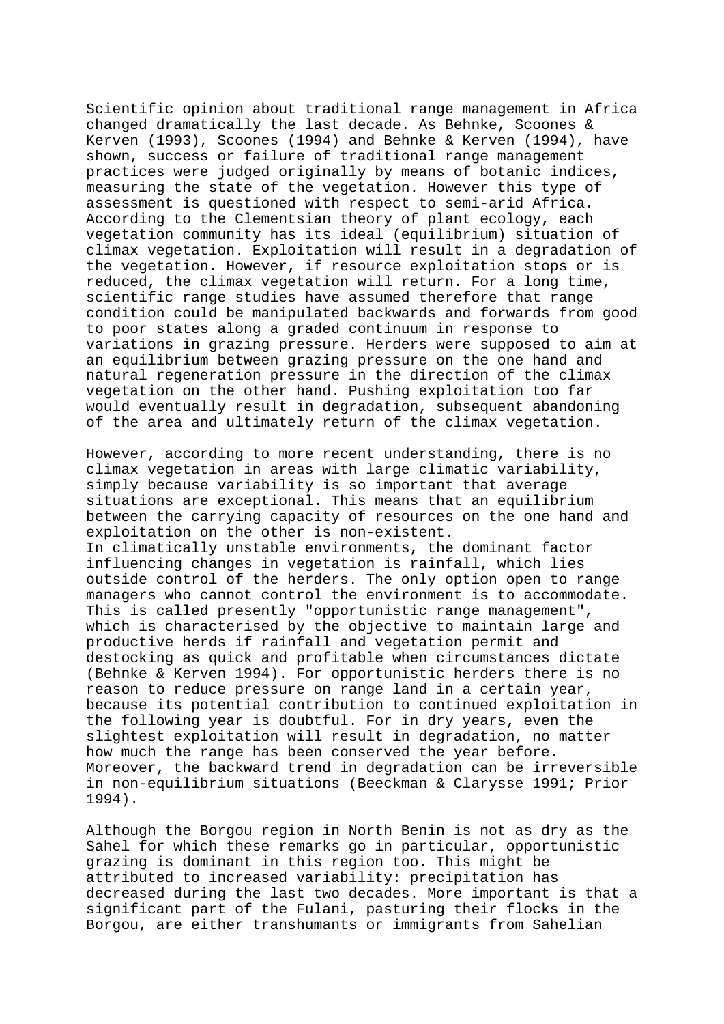Scientific opinion about traditional range management in Africa changed dramatically the last decade. As Behnke, Scoones & Kerven (1993), Scoones (1994) and Behnke & Kerven (1994), have shown, success or failure of traditional range management practices were judged originally by means of botanic indices, measuring the state of the vegetation. However this type of assessment is questioned with respect to semi-arid Africa. According to the Clementsian theory of plant ecology, each vegetation community has its ideal (equilibrium) situation of climax vegetation. Exploitation will result in a degradation of the vegetation. However, if resource exploitation stops or is reduced, the climax vegetation will return. For a long time, scientific range studies have assumed therefore that range condition could be manipulated backwards and forwards from good to poor states along a graded continuum in response to variations in grazing pressure. Herders were supposed to aim at an equilibrium between grazing pressure on the one hand and natural regeneration pressure in the direction of the climax vegetation on the other hand. Pushing exploitation too far would eventually result in degradation, subsequent abandoning of the area and ultimately return of the climax vegetation.

However, according to more recent understanding, there is no climax vegetation in areas with large climatic variability, simply because variability is so important that average situations are exceptional. This means that an equilibrium between the carrying capacity of resources on the one hand and exploitation on the other is non-existent. In climatically unstable environments, the dominant factor influencing changes in vegetation is rainfall, which lies outside control of the herders. The only option open to range managers who cannot control the environment is to accommodate. This is called presently "opportunistic range management", which is characterised by the objective to maintain large and productive herds if rainfall and vegetation permit and destocking as quick and profitable when circumstances dictate (Behnke & Kerven 1994). For opportunistic herders there is no reason to reduce pressure on range land in a certain year, because its potential contribution to continued exploitation in the following year is doubtful. For in dry years, even the slightest exploitation will result in degradation, no matter how much the range has been conserved the year before. Moreover, the backward trend in degradation can be irreversible in non-equilibrium situations (Beeckman & Clarysse 1991; Prior 1994).

Although the Borgou region in North Benin is not as dry as the Sahel for which these remarks go in particular, opportunistic grazing is dominant in this region too. This might be attributed to increased variability: precipitation has decreased during the last two decades. More important is that a significant part of the Fulani, pasturing their flocks in the Borgou, are either transhumants or immigrants from Sahelian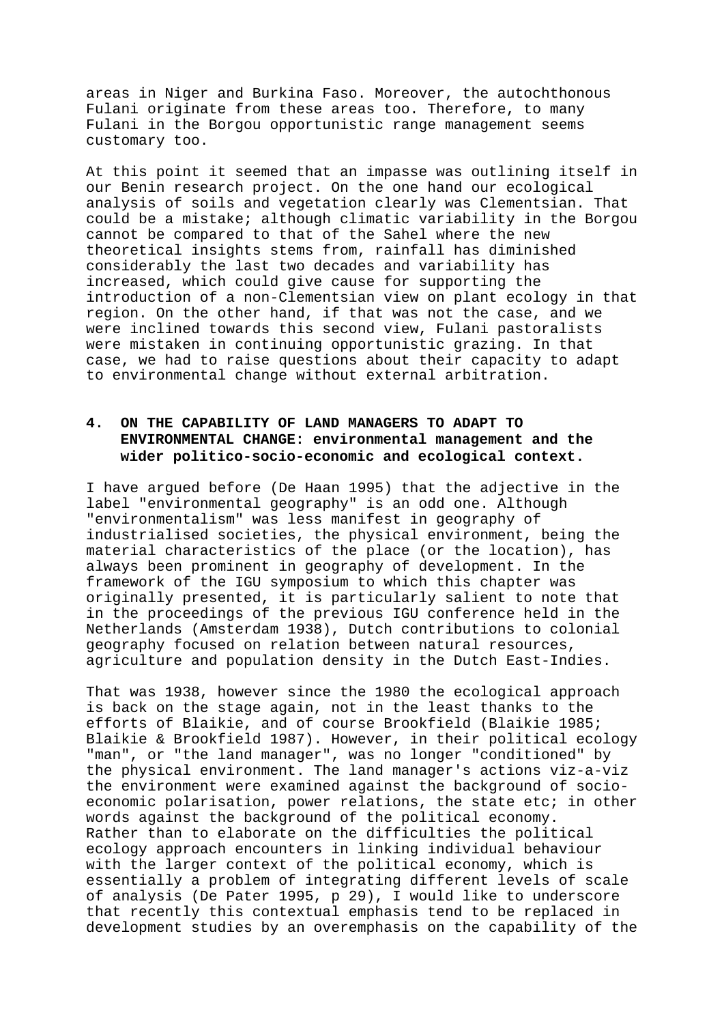areas in Niger and Burkina Faso. Moreover, the autochthonous Fulani originate from these areas too. Therefore, to many Fulani in the Borgou opportunistic range management seems customary too.

At this point it seemed that an impasse was outlining itself in our Benin research project. On the one hand our ecological analysis of soils and vegetation clearly was Clementsian. That could be a mistake; although climatic variability in the Borgou cannot be compared to that of the Sahel where the new theoretical insights stems from, rainfall has diminished considerably the last two decades and variability has increased, which could give cause for supporting the introduction of a non-Clementsian view on plant ecology in that region. On the other hand, if that was not the case, and we were inclined towards this second view, Fulani pastoralists were mistaken in continuing opportunistic grazing. In that case, we had to raise questions about their capacity to adapt to environmental change without external arbitration.

# **4. ON THE CAPABILITY OF LAND MANAGERS TO ADAPT TO ENVIRONMENTAL CHANGE: environmental management and the wider politico-socio-economic and ecological context.**

I have argued before (De Haan 1995) that the adjective in the label "environmental geography" is an odd one. Although "environmentalism" was less manifest in geography of industrialised societies, the physical environment, being the material characteristics of the place (or the location), has always been prominent in geography of development. In the framework of the IGU symposium to which this chapter was originally presented, it is particularly salient to note that in the proceedings of the previous IGU conference held in the Netherlands (Amsterdam 1938), Dutch contributions to colonial geography focused on relation between natural resources, agriculture and population density in the Dutch East-Indies.

That was 1938, however since the 1980 the ecological approach is back on the stage again, not in the least thanks to the efforts of Blaikie, and of course Brookfield (Blaikie 1985; Blaikie & Brookfield 1987). However, in their political ecology "man", or "the land manager", was no longer "conditioned" by the physical environment. The land manager's actions viz-a-viz the environment were examined against the background of socioeconomic polarisation, power relations, the state etc; in other words against the background of the political economy. Rather than to elaborate on the difficulties the political ecology approach encounters in linking individual behaviour with the larger context of the political economy, which is essentially a problem of integrating different levels of scale of analysis (De Pater 1995, p 29), I would like to underscore that recently this contextual emphasis tend to be replaced in development studies by an overemphasis on the capability of the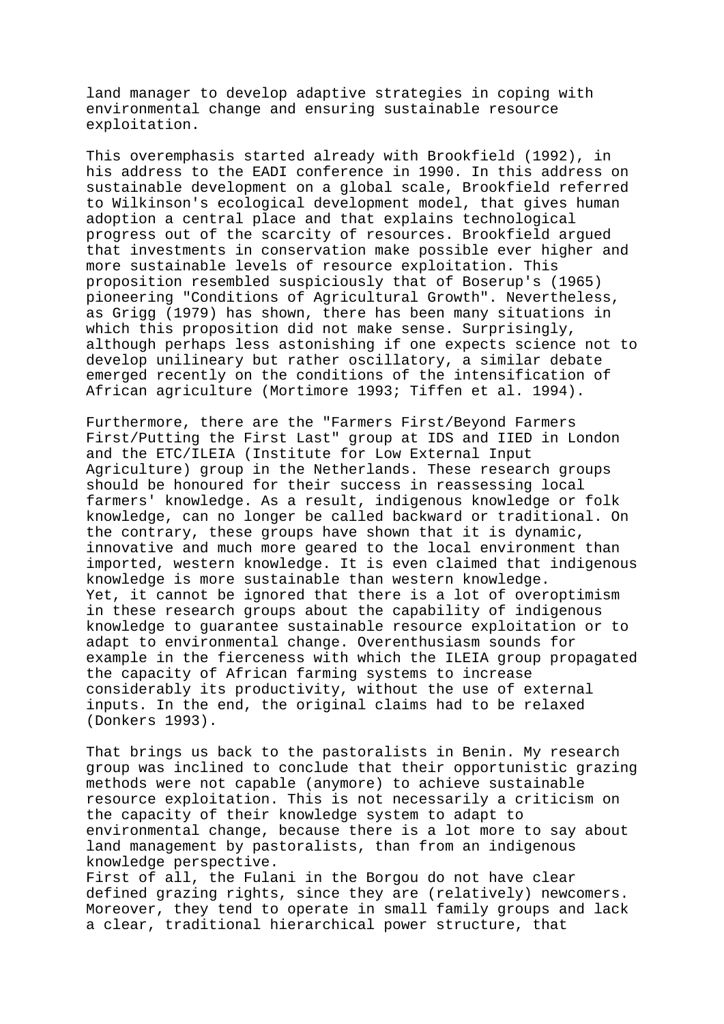land manager to develop adaptive strategies in coping with environmental change and ensuring sustainable resource exploitation.

This overemphasis started already with Brookfield (1992), in his address to the EADI conference in 1990. In this address on sustainable development on a global scale, Brookfield referred to Wilkinson's ecological development model, that gives human adoption a central place and that explains technological progress out of the scarcity of resources. Brookfield argued that investments in conservation make possible ever higher and more sustainable levels of resource exploitation. This proposition resembled suspiciously that of Boserup's (1965) pioneering "Conditions of Agricultural Growth". Nevertheless, as Grigg (1979) has shown, there has been many situations in which this proposition did not make sense. Surprisingly, although perhaps less astonishing if one expects science not to develop unilineary but rather oscillatory, a similar debate emerged recently on the conditions of the intensification of African agriculture (Mortimore 1993; Tiffen et al. 1994).

Furthermore, there are the "Farmers First/Beyond Farmers First/Putting the First Last" group at IDS and IIED in London and the ETC/ILEIA (Institute for Low External Input Agriculture) group in the Netherlands. These research groups should be honoured for their success in reassessing local farmers' knowledge. As a result, indigenous knowledge or folk knowledge, can no longer be called backward or traditional. On the contrary, these groups have shown that it is dynamic, innovative and much more geared to the local environment than imported, western knowledge. It is even claimed that indigenous knowledge is more sustainable than western knowledge. Yet, it cannot be ignored that there is a lot of overoptimism in these research groups about the capability of indigenous knowledge to guarantee sustainable resource exploitation or to adapt to environmental change. Overenthusiasm sounds for example in the fierceness with which the ILEIA group propagated the capacity of African farming systems to increase considerably its productivity, without the use of external inputs. In the end, the original claims had to be relaxed (Donkers 1993).

That brings us back to the pastoralists in Benin. My research group was inclined to conclude that their opportunistic grazing methods were not capable (anymore) to achieve sustainable resource exploitation. This is not necessarily a criticism on the capacity of their knowledge system to adapt to environmental change, because there is a lot more to say about land management by pastoralists, than from an indigenous knowledge perspective.

First of all, the Fulani in the Borgou do not have clear defined grazing rights, since they are (relatively) newcomers. Moreover, they tend to operate in small family groups and lack a clear, traditional hierarchical power structure, that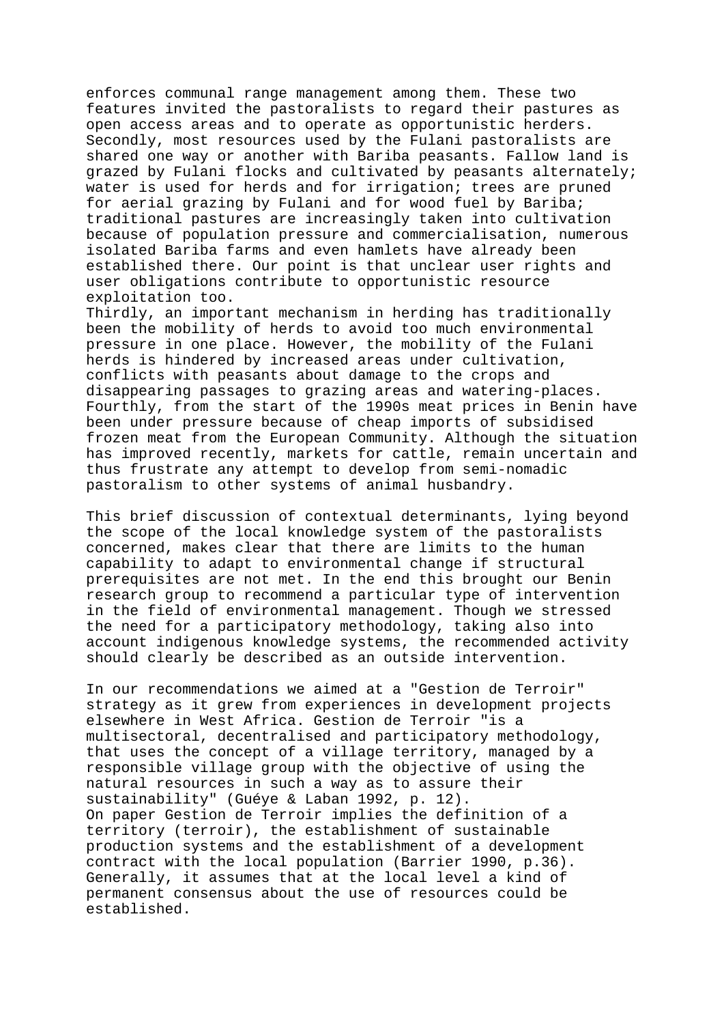enforces communal range management among them. These two features invited the pastoralists to regard their pastures as open access areas and to operate as opportunistic herders. Secondly, most resources used by the Fulani pastoralists are shared one way or another with Bariba peasants. Fallow land is grazed by Fulani flocks and cultivated by peasants alternately; water is used for herds and for irrigation; trees are pruned for aerial grazing by Fulani and for wood fuel by Bariba; traditional pastures are increasingly taken into cultivation because of population pressure and commercialisation, numerous isolated Bariba farms and even hamlets have already been established there. Our point is that unclear user rights and user obligations contribute to opportunistic resource exploitation too.

Thirdly, an important mechanism in herding has traditionally been the mobility of herds to avoid too much environmental pressure in one place. However, the mobility of the Fulani herds is hindered by increased areas under cultivation, conflicts with peasants about damage to the crops and disappearing passages to grazing areas and watering-places. Fourthly, from the start of the 1990s meat prices in Benin have been under pressure because of cheap imports of subsidised frozen meat from the European Community. Although the situation has improved recently, markets for cattle, remain uncertain and thus frustrate any attempt to develop from semi-nomadic pastoralism to other systems of animal husbandry.

This brief discussion of contextual determinants, lying beyond the scope of the local knowledge system of the pastoralists concerned, makes clear that there are limits to the human capability to adapt to environmental change if structural prerequisites are not met. In the end this brought our Benin research group to recommend a particular type of intervention in the field of environmental management. Though we stressed the need for a participatory methodology, taking also into account indigenous knowledge systems, the recommended activity should clearly be described as an outside intervention.

In our recommendations we aimed at a "Gestion de Terroir" strategy as it grew from experiences in development projects elsewhere in West Africa. Gestion de Terroir "is a multisectoral, decentralised and participatory methodology, that uses the concept of a village territory, managed by a responsible village group with the objective of using the natural resources in such a way as to assure their sustainability" (Guéye & Laban 1992, p. 12). On paper Gestion de Terroir implies the definition of a territory (terroir), the establishment of sustainable production systems and the establishment of a development contract with the local population (Barrier 1990, p.36). Generally, it assumes that at the local level a kind of permanent consensus about the use of resources could be established.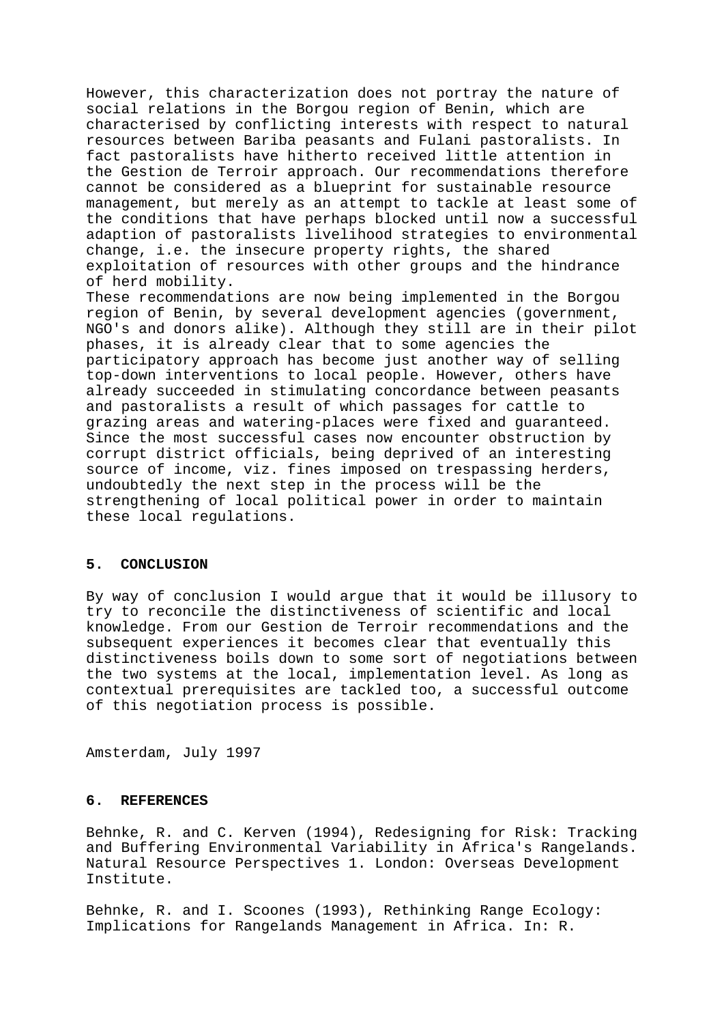However, this characterization does not portray the nature of social relations in the Borgou region of Benin, which are characterised by conflicting interests with respect to natural resources between Bariba peasants and Fulani pastoralists. In fact pastoralists have hitherto received little attention in the Gestion de Terroir approach. Our recommendations therefore cannot be considered as a blueprint for sustainable resource management, but merely as an attempt to tackle at least some of the conditions that have perhaps blocked until now a successful adaption of pastoralists livelihood strategies to environmental change, i.e. the insecure property rights, the shared exploitation of resources with other groups and the hindrance of herd mobility.

These recommendations are now being implemented in the Borgou region of Benin, by several development agencies (government, NGO's and donors alike). Although they still are in their pilot phases, it is already clear that to some agencies the participatory approach has become just another way of selling top-down interventions to local people. However, others have already succeeded in stimulating concordance between peasants and pastoralists a result of which passages for cattle to grazing areas and watering-places were fixed and guaranteed. Since the most successful cases now encounter obstruction by corrupt district officials, being deprived of an interesting source of income, viz. fines imposed on trespassing herders, undoubtedly the next step in the process will be the strengthening of local political power in order to maintain these local regulations.

# **5. CONCLUSION**

By way of conclusion I would argue that it would be illusory to try to reconcile the distinctiveness of scientific and local knowledge. From our Gestion de Terroir recommendations and the subsequent experiences it becomes clear that eventually this distinctiveness boils down to some sort of negotiations between the two systems at the local, implementation level. As long as contextual prerequisites are tackled too, a successful outcome of this negotiation process is possible.

Amsterdam, July 1997

### **6. REFERENCES**

Behnke, R. and C. Kerven (1994), Redesigning for Risk: Tracking and Buffering Environmental Variability in Africa's Rangelands. Natural Resource Perspectives 1. London: Overseas Development Institute.

Behnke, R. and I. Scoones (1993), Rethinking Range Ecology: Implications for Rangelands Management in Africa. In: R.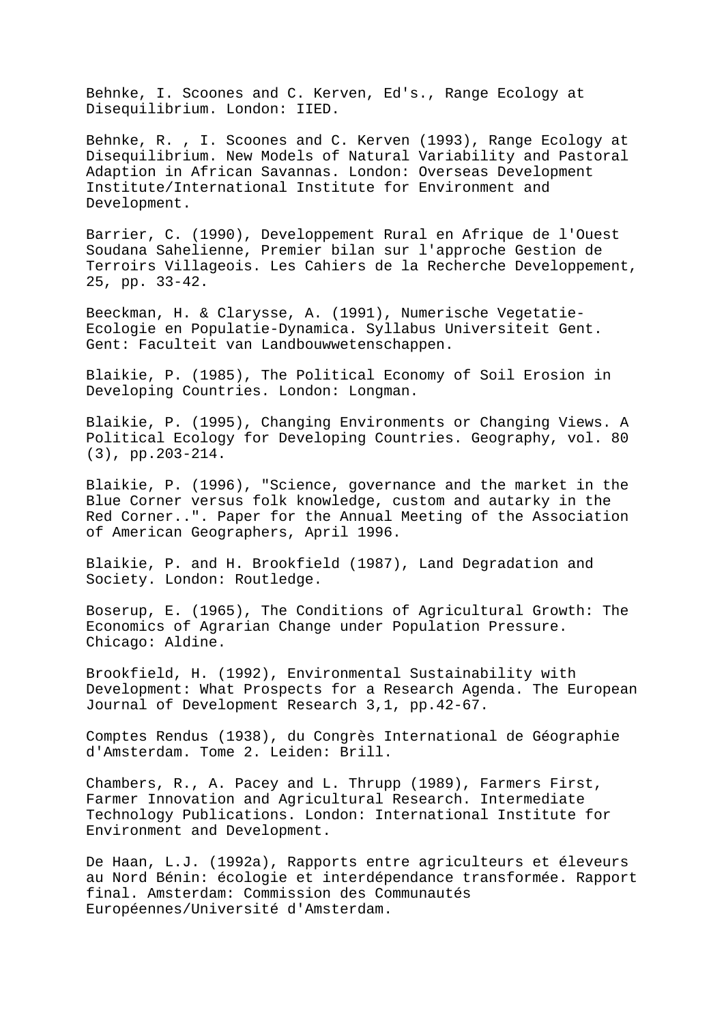Behnke, I. Scoones and C. Kerven, Ed's., Range Ecology at Disequilibrium. London: IIED.

Behnke, R. , I. Scoones and C. Kerven (1993), Range Ecology at Disequilibrium. New Models of Natural Variability and Pastoral Adaption in African Savannas. London: Overseas Development Institute/International Institute for Environment and Development.

Barrier, C. (1990), Developpement Rural en Afrique de l'Ouest Soudana Sahelienne, Premier bilan sur l'approche Gestion de Terroirs Villageois. Les Cahiers de la Recherche Developpement, 25, pp. 33-42.

Beeckman, H. & Clarysse, A. (1991), Numerische Vegetatie-Ecologie en Populatie-Dynamica. Syllabus Universiteit Gent. Gent: Faculteit van Landbouwwetenschappen.

Blaikie, P. (1985), The Political Economy of Soil Erosion in Developing Countries. London: Longman.

Blaikie, P. (1995), Changing Environments or Changing Views. A Political Ecology for Developing Countries. Geography, vol. 80 (3), pp.203-214.

Blaikie, P. (1996), "Science, governance and the market in the Blue Corner versus folk knowledge, custom and autarky in the Red Corner..". Paper for the Annual Meeting of the Association of American Geographers, April 1996.

Blaikie, P. and H. Brookfield (1987), Land Degradation and Society. London: Routledge.

Boserup, E. (1965), The Conditions of Agricultural Growth: The Economics of Agrarian Change under Population Pressure. Chicago: Aldine.

Brookfield, H. (1992), Environmental Sustainability with Development: What Prospects for a Research Agenda. The European Journal of Development Research 3,1, pp.42-67.

Comptes Rendus (1938), du Congrès International de Géographie d'Amsterdam. Tome 2. Leiden: Brill.

Chambers, R., A. Pacey and L. Thrupp (1989), Farmers First, Farmer Innovation and Agricultural Research. Intermediate Technology Publications. London: International Institute for Environment and Development.

De Haan, L.J. (1992a), Rapports entre agriculteurs et éleveurs au Nord Bénin: écologie et interdépendance transformée. Rapport final. Amsterdam: Commission des Communautés Européennes/Université d'Amsterdam.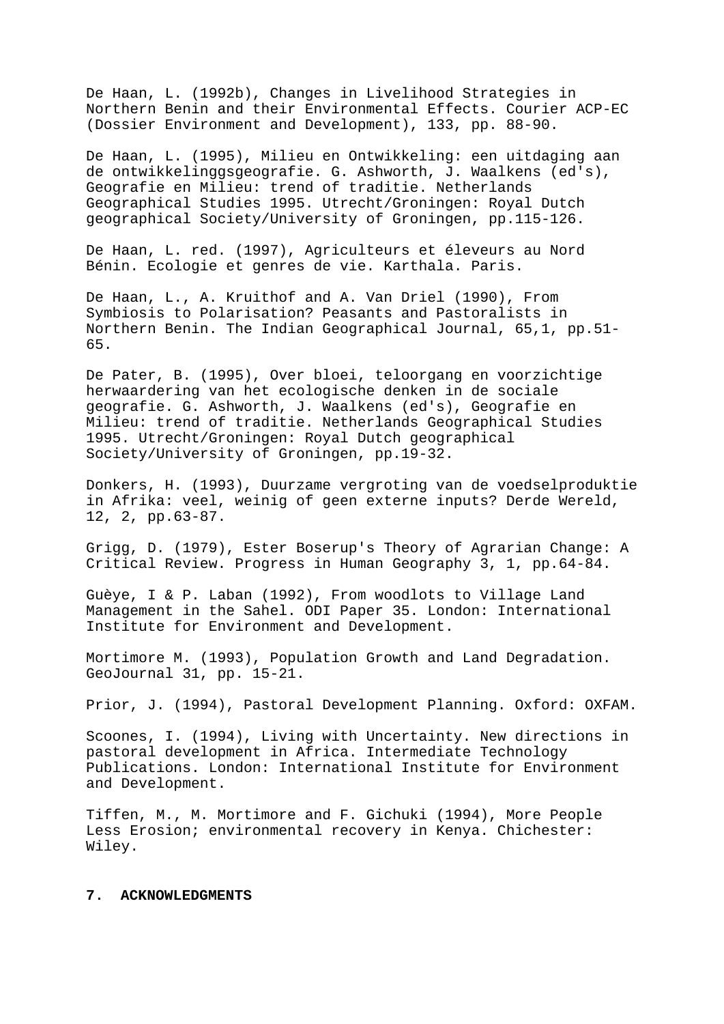De Haan, L. (1992b), Changes in Livelihood Strategies in Northern Benin and their Environmental Effects. Courier ACP-EC (Dossier Environment and Development), 133, pp. 88-90.

De Haan, L. (1995), Milieu en Ontwikkeling: een uitdaging aan de ontwikkelinggsgeografie. G. Ashworth, J. Waalkens (ed's), Geografie en Milieu: trend of traditie. Netherlands Geographical Studies 1995. Utrecht/Groningen: Royal Dutch geographical Society/University of Groningen, pp.115-126.

De Haan, L. red. (1997), Agriculteurs et éleveurs au Nord Bénin. Ecologie et genres de vie. Karthala. Paris.

De Haan, L., A. Kruithof and A. Van Driel (1990), From Symbiosis to Polarisation? Peasants and Pastoralists in Northern Benin. The Indian Geographical Journal, 65,1, pp.51- 65.

De Pater, B. (1995), Over bloei, teloorgang en voorzichtige herwaardering van het ecologische denken in de sociale geografie. G. Ashworth, J. Waalkens (ed's), Geografie en Milieu: trend of traditie. Netherlands Geographical Studies 1995. Utrecht/Groningen: Royal Dutch geographical Society/University of Groningen, pp.19-32.

Donkers, H. (1993), Duurzame vergroting van de voedselproduktie in Afrika: veel, weinig of geen externe inputs? Derde Wereld, 12, 2, pp.63-87.

Grigg, D. (1979), Ester Boserup's Theory of Agrarian Change: A Critical Review. Progress in Human Geography 3, 1, pp.64-84.

Guèye, I & P. Laban (1992), From woodlots to Village Land Management in the Sahel. ODI Paper 35. London: International Institute for Environment and Development.

Mortimore M. (1993), Population Growth and Land Degradation. GeoJournal 31, pp. 15-21.

Prior, J. (1994), Pastoral Development Planning. Oxford: OXFAM.

Scoones, I. (1994), Living with Uncertainty. New directions in pastoral development in Africa. Intermediate Technology Publications. London: International Institute for Environment and Development.

Tiffen, M., M. Mortimore and F. Gichuki (1994), More People Less Erosion; environmental recovery in Kenya. Chichester: Wiley.

### **7. ACKNOWLEDGMENTS**